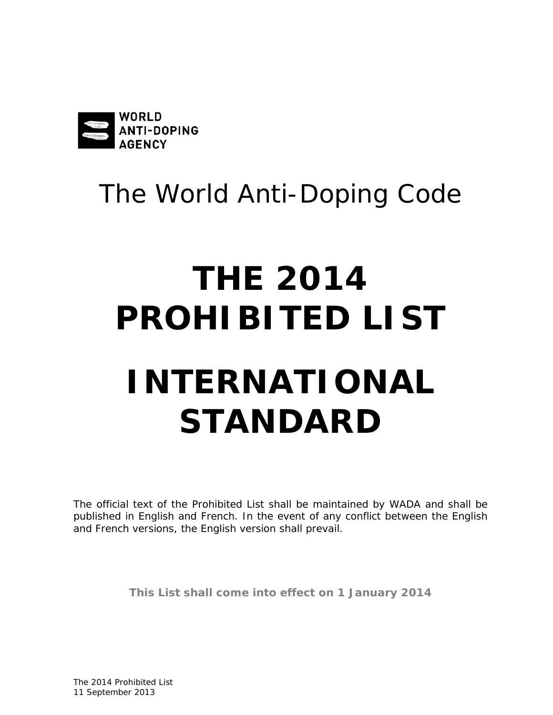

# The World Anti-Doping Code

# **THE 2014 PROHIBITED LISTINTERNATIONAL STANDARD**

The official text of the *Prohibited List* shall be maintained by *WADA* and shall be published in English and French. In the event of any conflict between the English and French versions, the English version shall prevail.

**This List shall come into effect on 1 January 2014**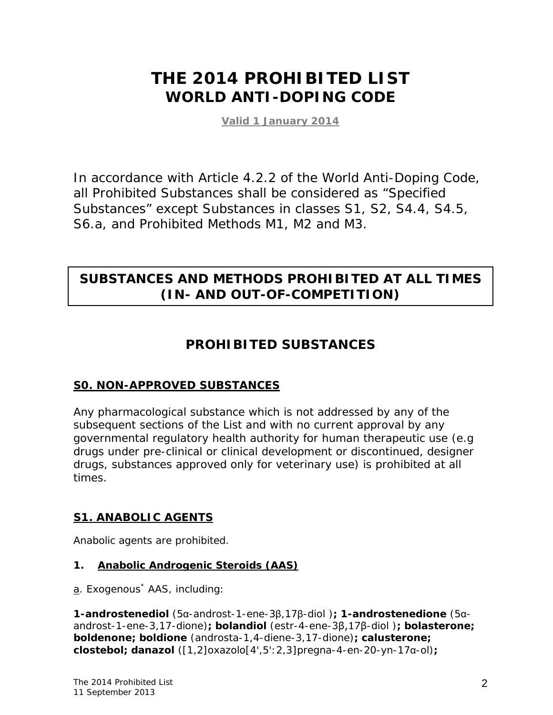# **THE 2014 PROHIBITED LIST WORLD ANTI-DOPING CODE**

**Valid 1 January 2014**

In accordance with Article 4.2.2 of the World Anti-Doping Code, all *Prohibited Substances* shall be considered as "Specified Substances" except Substances in classes S1, S2, S4.4, S4.5, S6.a, and *Prohibited Methods* M1, M2 and M3.

### **SUBSTANCES AND METHODS PROHIBITED AT ALL TIMES (IN- AND OUT-OF-COMPETITION)**

#### **PROHIBITED SUBSTANCES**

#### **S0. NON-APPROVED SUBSTANCES**

Any pharmacological substance which is not addressed by any of the subsequent sections of the List and with no current approval by any governmental regulatory health authority for human therapeutic use (e.g drugs under pre-clinical or clinical development or discontinued, designer drugs, substances approved only for veterinary use) is prohibited at all times.

#### **S1. ANABOLIC AGENTS**

Anabolic agents are prohibited.

#### **1. Anabolic Androgenic Steroids (AAS)**

a. Exogenous<sup>\*</sup> AAS, including:

**1-androstenediol** (5α-androst-1-ene-3β,17β-diol )**; 1-androstenedione** (5αandrost-1-ene-3,17-dione)**; bolandiol** (estr-4-ene-3β,17β-diol )**; bolasterone; boldenone; boldione** (androsta-1,4-diene-3,17-dione)**; calusterone; clostebol; danazol** ([1,2]oxazolo[4',5':2,3]pregna-4-en-20-yn-17α-ol)**;**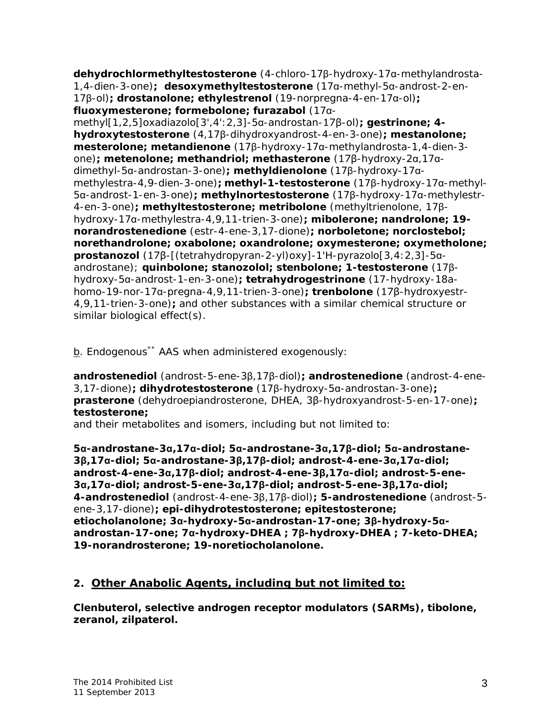**dehydrochlormethyltestosterone** (4-chloro-17β-hydroxy-17α-methylandrosta-1,4-dien-3-one)**; desoxymethyltestosterone** (17α-methyl-5α-androst-2-en-17β-ol)**; drostanolone; ethylestrenol** (19-norpregna-4-en-17α-ol)**; fluoxymesterone; formebolone; furazabol** (17α-

methyl[1,2,5]oxadiazolo[3',4':2,3]-5α-androstan-17β-ol)**; gestrinone; 4 hydroxytestosterone** (4,17β-dihydroxyandrost-4-en-3-one)**; mestanolone; mesterolone; metandienone** (17β-hydroxy-17α-methylandrosta-1,4-dien-3 one)**; metenolone; methandriol; methasterone** (17β-hydroxy-2α,17αdimethyl-5α-androstan-3-one)**; methyldienolone** (17β-hydroxy-17αmethylestra-4,9-dien-3-one)**; methyl-1-testosterone** (17β-hydroxy-17α-methyl-5α-androst-1-en-3-one)**; methylnortestosterone** (17β-hydroxy-17α-methylestr-4-en-3-one)**; methyltestosterone; metribolone** (methyltrienolone, 17βhydroxy-17α-methylestra-4,9,11-trien-3-one)**; mibolerone; nandrolone; 19 norandrostenedione** (estr-4-ene-3,17-dione)**; norboletone; norclostebol; norethandrolone; oxabolone; oxandrolone; oxymesterone; oxymetholone; prostanozol** (17β-[(tetrahydropyran-2-yl)oxy]-1'H-pyrazolo[3,4:2,3]-5αandrostane); **quinbolone; stanozolol; stenbolone; 1-testosterone** (17βhydroxy-5α-androst-1-en-3-one)**; tetrahydrogestrinone** (17-hydroxy-18ahomo-19-nor-17α-pregna-4,9,11-trien-3-one)**; trenbolone** (17β-hydroxyestr-4,9,11-trien-3-one)**;** and other substances with a similar chemical structure or similar biological effect(s).

b. Endogenous<sup>\*\*</sup> AAS when administered exogenously:

**androstenediol** (androst-5-ene-3β,17β-diol)**; androstenedione** (androst-4-ene-3,17-dione)**; dihydrotestosterone** (17β-hydroxy-5α-androstan-3-one)**; prasterone** (dehydroepiandrosterone, DHEA, 3β-hydroxyandrost-5-en-17-one)**; testosterone;**

and their metabolites and isomers, including but not limited to:

**5α-androstane-3α,17α-diol; 5α-androstane-3α,17β-diol; 5α-androstane-3β,17α-diol; 5α-androstane-3β,17β-diol; androst-4-ene-3α,17α-diol; androst-4-ene-3α,17β-diol; androst-4-ene-3β,17α-diol; androst-5-ene-3α,17α-diol; androst-5-ene-3α,17β-diol; androst-5-ene-3β,17α-diol; 4-androstenediol** (androst-4-ene-3β,17β-diol)**; 5-androstenedione** (androst-5 ene-3,17-dione)**; epi-dihydrotestosterone; epitestosterone; etiocholanolone; 3α-hydroxy-5α-androstan-17-one; 3β-hydroxy-5αandrostan-17-one; 7α-hydroxy-DHEA ; 7β-hydroxy-DHEA ; 7-keto-DHEA; 19-norandrosterone; 19-noretiocholanolone.**

#### **2. Other Anabolic Agents, including but not limited to:**

**Clenbuterol, selective androgen receptor modulators (SARMs), tibolone, zeranol, zilpaterol.**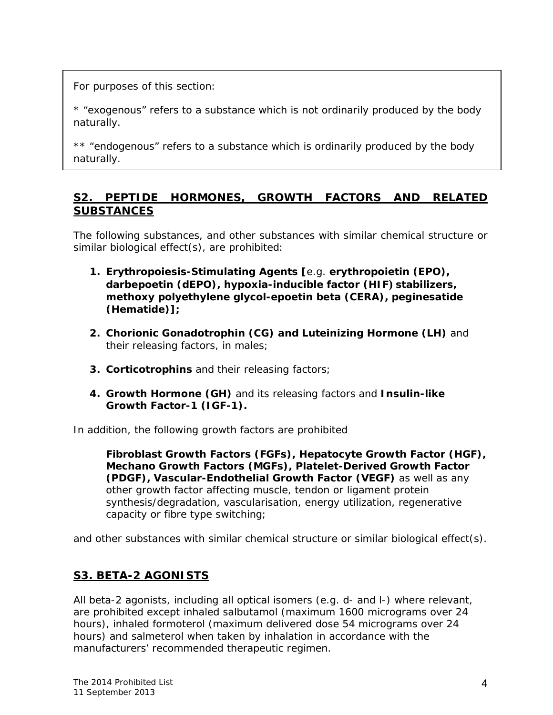*For purposes of this section:*

*\* "exogenous" refers to a substance which is not ordinarily produced by the body naturally.*

*\*\* "endogenous" refers to a substance which is ordinarily produced by the body naturally.*

#### **S2. PEPTIDE HORMONES, GROWTH FACTORS AND RELATED SUBSTANCES**

The following substances, and other substances with similar chemical structure or similar biological effect(s), are prohibited:

- **1. Erythropoiesis-Stimulating Agents [**e.g. **erythropoietin (EPO), darbepoetin (dEPO), hypoxia-inducible factor (HIF) stabilizers, methoxy polyethylene glycol-epoetin beta (CERA), peginesatide (Hematide)];**
- **2. Chorionic Gonadotrophin (CG) and Luteinizing Hormone (LH)** and their releasing factors, in males;
- **3. Corticotrophins** and their releasing factors;
- **4. Growth Hormone (GH)** and its releasing factors and **Insulin-like Growth Factor-1 (IGF-1).**

In addition, the following growth factors are prohibited

**Fibroblast Growth Factors (FGFs), Hepatocyte Growth Factor (HGF), Mechano Growth Factors (MGFs), Platelet-Derived Growth Factor (PDGF), Vascular-Endothelial Growth Factor (VEGF)** as well as any other growth factor affecting muscle, tendon or ligament protein synthesis/degradation, vascularisation, energy utilization, regenerative capacity or fibre type switching;

and other substances with similar chemical structure or similar biological effect(s).

#### **S3. BETA-2 AGONISTS**

All beta-2 agonists, including all optical isomers (e.g. *d-* and *l-*) where relevant, are prohibited except inhaled salbutamol (maximum 1600 micrograms over 24 hours), inhaled formoterol (maximum delivered dose 54 micrograms over 24 hours) and salmeterol when taken by inhalation in accordance with the manufacturers' recommended therapeutic regimen.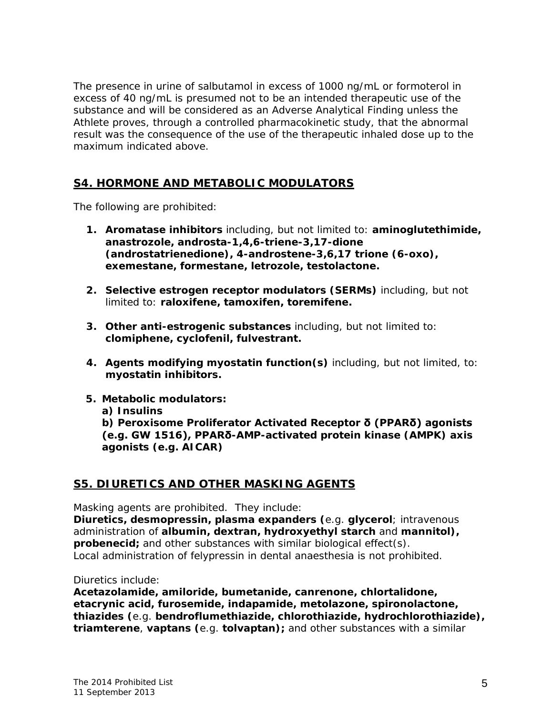The presence in urine of salbutamol in excess of 1000 ng/mL or formoterol in excess of 40 ng/mL is presumed not to be an intended therapeutic use of the substance and will be considered as an *Adverse Analytical Finding* unless the *Athlete* proves, through a controlled pharmacokinetic study, that the abnormal result was the consequence of the use of the therapeutic inhaled dose up to the maximum indicated above.

#### **S4. HORMONE AND METABOLIC MODULATORS**

The following are prohibited:

- **1. Aromatase inhibitors** including, but not limited to: **aminoglutethimide, anastrozole, androsta-1,4,6-triene-3,17-dione (androstatrienedione), 4-androstene-3,6,17 trione (6-oxo), exemestane, formestane, letrozole, testolactone.**
- **2. Selective estrogen receptor modulators (SERMs)** including, but not limited to: **raloxifene, tamoxifen, toremifene.**
- **3. Other anti-estrogenic substances** including, but not limited to: **clomiphene, cyclofenil, fulvestrant.**
- **4. Agents modifying myostatin function(s)** including, but not limited, to: **myostatin inhibitors.**
- **5. Metabolic modulators:** 
	- **a) Insulins**

**b) Peroxisome Proliferator Activated Receptor δ (PPARδ) agonists (e.g. GW 1516), PPARδ-AMP-activated protein kinase (AMPK) axis agonists (e.g. AICAR)**

#### **S5. DIURETICS AND OTHER MASKING AGENTS**

Masking agents are prohibited. They include:

**Diuretics, desmopressin, plasma expanders (**e.g. **glycerol**; intravenous administration of **albumin, dextran, hydroxyethyl starch** and **mannitol), probenecid;** and other substances with similar biological effect(s). Local administration of felypressin in dental anaesthesia is not prohibited.

Diuretics include:

**Acetazolamide, amiloride, bumetanide, canrenone, chlortalidone, etacrynic acid, furosemide, indapamide, metolazone, spironolactone, thiazides (**e.g. **bendroflumethiazide, chlorothiazide, hydrochlorothiazide), triamterene**, **vaptans (**e.g. **tolvaptan);** and other substances with a similar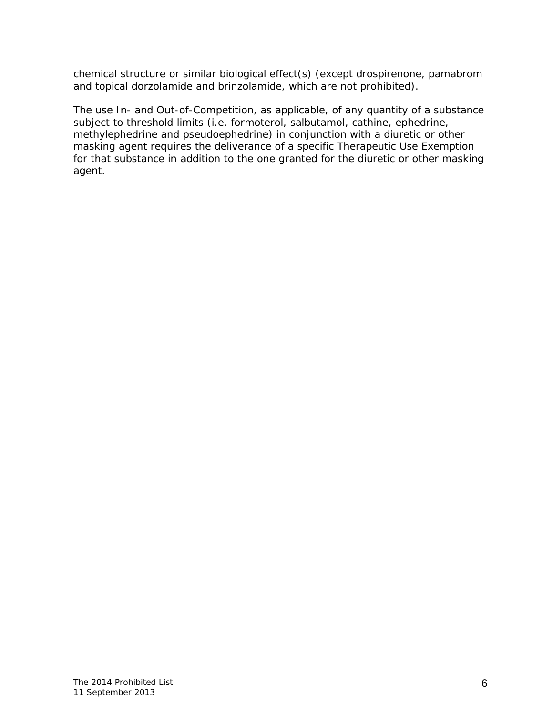chemical structure or similar biological effect(s) (except drospirenone, pamabrom and topical dorzolamide and brinzolamide, which are not prohibited).

The use *In-* and O*ut-of-Competition,* as applicable, of any quantity of a substance subject to threshold limits (i.e. formoterol, salbutamol, cathine, ephedrine, methylephedrine and pseudoephedrine) in conjunction with a diuretic or other masking agent requires the deliverance of a specific Therapeutic Use Exemption for that substance in addition to the one granted for the diuretic or other masking agent.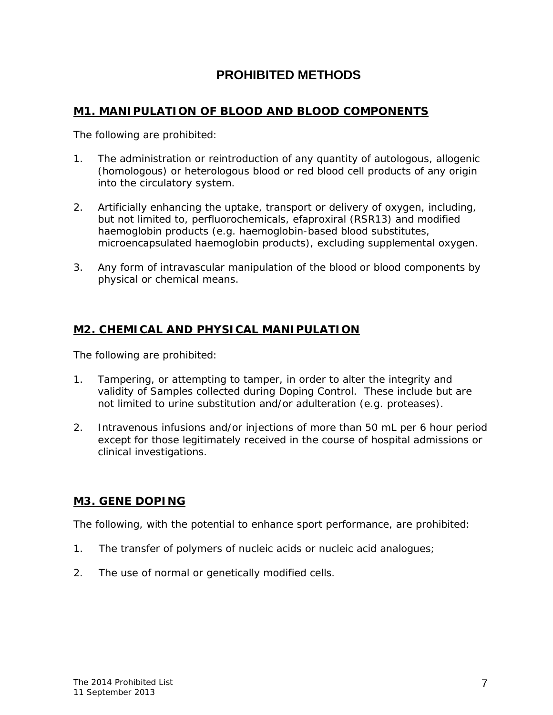#### **PROHIBITED METHODS**

#### **M1. MANIPULATION OF BLOOD AND BLOOD COMPONENTS**

The following are prohibited:

- 1. The administration or reintroduction of any quantity of autologous, allogenic (homologous) or heterologous blood or red blood cell products of any origin into the circulatory system.
- 2. Artificially enhancing the uptake, transport or delivery of oxygen, including, but not limited to, perfluorochemicals, efaproxiral (RSR13) and modified haemoglobin products (e.g. haemoglobin-based blood substitutes, microencapsulated haemoglobin products), excluding supplemental oxygen.
- 3. Any form of intravascular manipulation of the blood or blood components by physical or chemical means.

#### **M2. CHEMICAL AND PHYSICAL MANIPULATION**

The following are prohibited:

- 1. *Tampering,* or attempting to tamper, in order to alter the integrity and validity of *Samples* collected during *Doping Control*. These include but are not limited to urine substitution and/or adulteration (e.g. proteases).
- 2. Intravenous infusions and/or injections of more than 50 mL per 6 hour period except for those legitimately received in the course of hospital admissions or clinical investigations.

#### **M3. GENE DOPING**

The following, with the potential to enhance sport performance, are prohibited:

- 1. The transfer of polymers of nucleic acids or nucleic acid analogues;
- 2. The use of normal or genetically modified cells.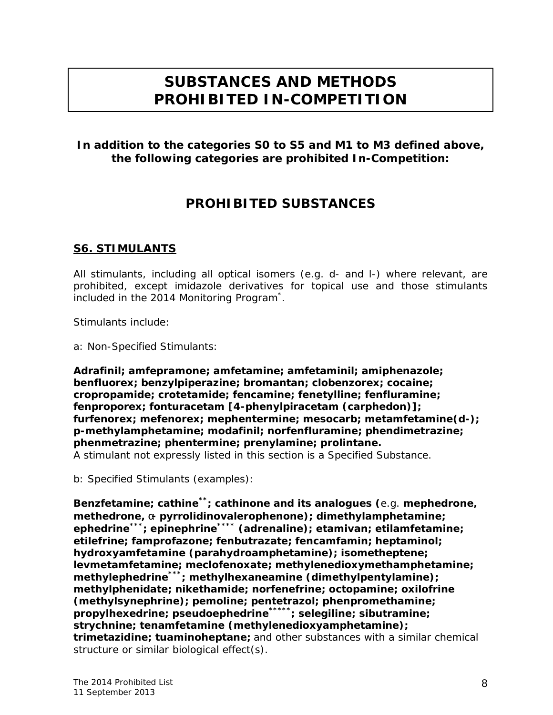# **SUBSTANCES AND METHODS PROHIBITED IN-COMPETITION**

#### **In addition to the categories S0 to S5 and M1 to M3 defined above, the following categories are prohibited** *In-Competition***:**

#### **PROHIBITED SUBSTANCES**

#### **S6. STIMULANTS**

All stimulants, including all optical isomers (e.g. *d-* and *l-*) where relevant, are prohibited, except imidazole derivatives for topical use and those stimulants included in the 2014 Monitoring Program\* .

Stimulants include:

a: Non-Specified Stimulants:

**Adrafinil; amfepramone; amfetamine; amfetaminil; amiphenazole; benfluorex; benzylpiperazine; bromantan; clobenzorex; cocaine; cropropamide; crotetamide; fencamine; fenetylline; fenfluramine; fenproporex; fonturacetam [4-phenylpiracetam (carphedon)]; furfenorex; mefenorex; mephentermine; mesocarb; metamfetamine(***d***-); p-methylamphetamine; modafinil; norfenfluramine; phendimetrazine; phenmetrazine; phentermine; prenylamine; prolintane.**  A stimulant not expressly listed in this section is a Specified Substance.

b: Specified Stimulants (examples):

**Benzfetamine; cathine\*\*; cathinone and its analogues (**e.g. **mephedrone, methedrone,** α**- pyrrolidinovalerophenone); dimethylamphetamine; ephedrine\*\*\*; epinephrine\*\*\*\* (adrenaline); etamivan; etilamfetamine; etilefrine; famprofazone; fenbutrazate; fencamfamin; heptaminol; hydroxyamfetamine (parahydroamphetamine); isometheptene; levmetamfetamine; meclofenoxate; methylenedioxymethamphetamine; methylephedrine\*\*\*; methylhexaneamine (dimethylpentylamine); methylphenidate; nikethamide; norfenefrine; octopamine; oxilofrine (methylsynephrine); pemoline; pentetrazol; phenpromethamine; propylhexedrine; pseudoephedrine\*\*\*\*\*; selegiline; sibutramine; strychnine; tenamfetamine (methylenedioxyamphetamine); trimetazidine; tuaminoheptane;** and other substances with a similar chemical structure or similar biological effect(s).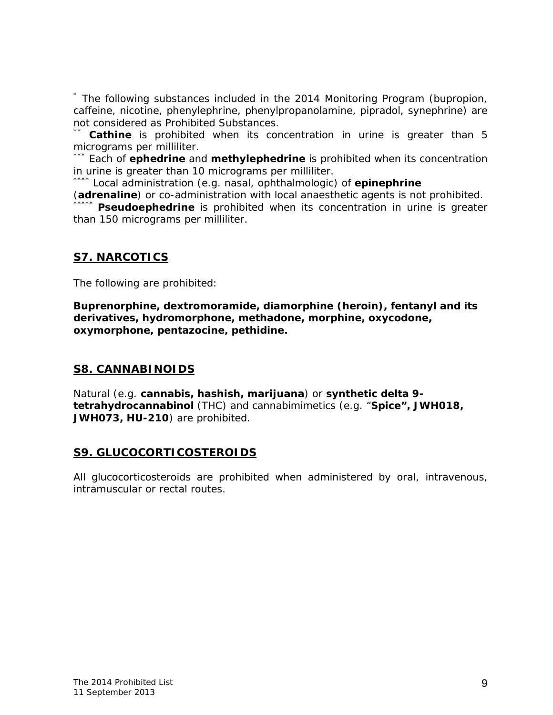\* The following substances included in the 2014 Monitoring Program (bupropion, caffeine, nicotine, phenylephrine, phenylpropanolamine, pipradol, synephrine) are not considered as *Prohibited Substances*.

**Cathine** is prohibited when its concentration in urine is greater than 5 micrograms per milliliter.

\*\*\* Each of **ephedrine** and **methylephedrine** is prohibited when its concentration in urine is greater than 10 micrograms per milliliter.<br>\*\*\*\* Local administration (e.g. nasal, ophthalmologic) of **epinephrine** 

(**adrenaline**) or co-administration with local anaesthetic agents is not prohibited.

**Pseudoephedrine** is prohibited when its concentration in urine is greater than 150 micrograms per milliliter.

#### **S7. NARCOTICS**

The following are prohibited:

**Buprenorphine, dextromoramide, diamorphine (heroin), fentanyl and its derivatives, hydromorphone, methadone, morphine, oxycodone, oxymorphone, pentazocine, pethidine.**

#### **S8. CANNABINOIDS**

Natural (e.g. **cannabis, hashish, marijuana**) or **synthetic delta 9 tetrahydrocannabinol** (THC) and cannabimimetics (e.g. "**Spice", JWH018, JWH073, HU-210**) are prohibited.

#### **S9. GLUCOCORTICOSTEROIDS**

All glucocorticosteroids are prohibited when administered by oral, intravenous, intramuscular or rectal routes.